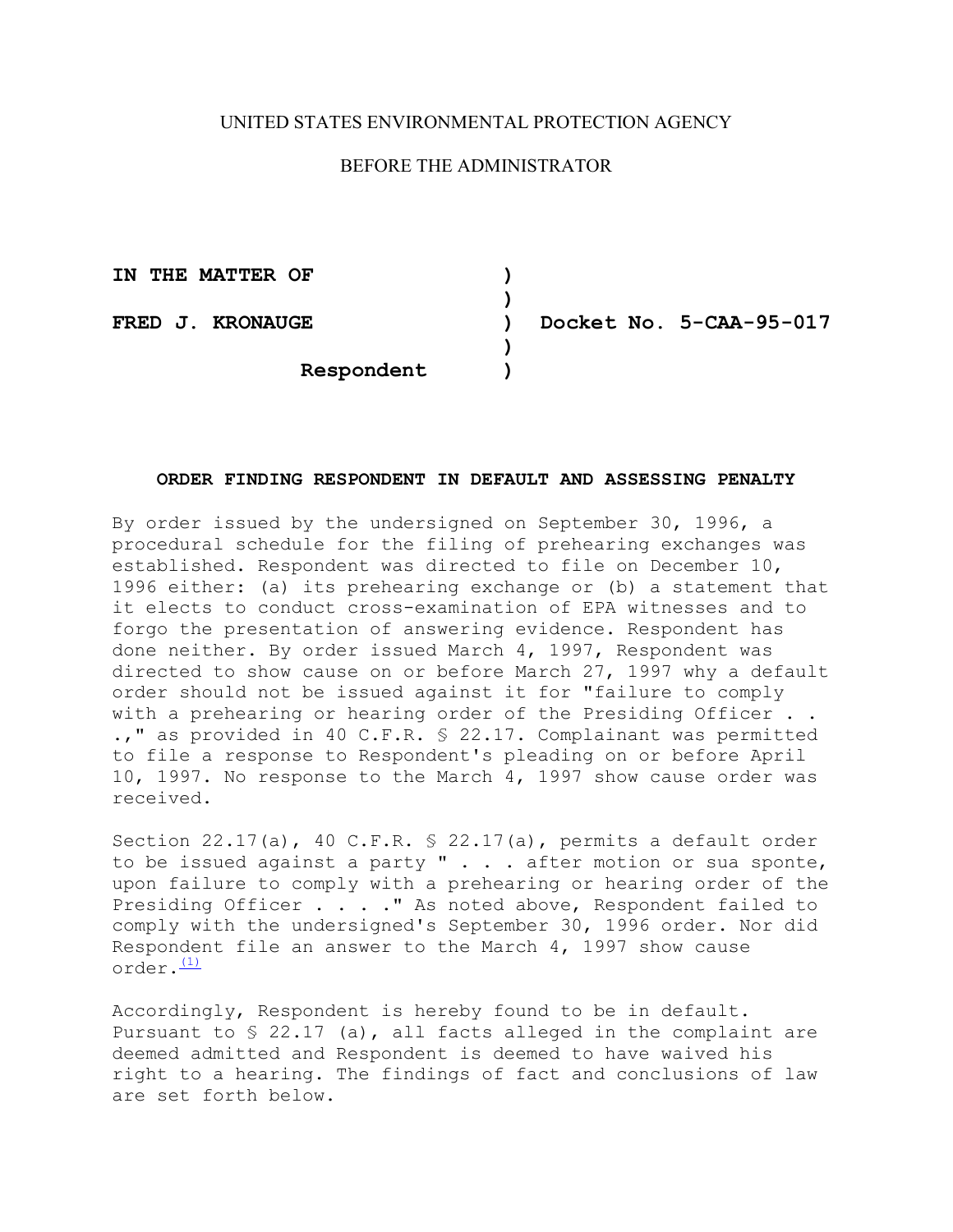# UNITED STATES ENVIRONMENTAL PROTECTION AGENCY

# BEFORE THE ADMINISTRATOR

**)** 

**)** 

**IN THE MATTER OF )**

**FRED J. KRONAUGE ) Docket No. 5-CAA-95-017** 

**Respondent )** 

# **ORDER FINDING RESPONDENT IN DEFAULT AND ASSESSING PENALTY**

By order issued by the undersigned on September 30, 1996, a procedural schedule for the filing of prehearing exchanges was established. Respondent was directed to file on December 10, 1996 either: (a) its prehearing exchange or (b) a statement that it elects to conduct cross-examination of EPA witnesses and to forgo the presentation of answering evidence. Respondent has done neither. By order issued March 4, 1997, Respondent was directed to show cause on or before March 27, 1997 why a default order should not be issued against it for "failure to comply with a prehearing or hearing order of the Presiding Officer . . .," as provided in 40 C.F.R. § 22.17. Complainant was permitted to file a response to Respondent's pleading on or before April 10, 1997. No response to the March 4, 1997 show cause order was received.

 $order.$  $(1)$ Section 22.17(a), 40 C.F.R. § 22.17(a), permits a default order to be issued against a party " . . . after motion or sua sponte, upon failure to comply with a prehearing or hearing order of the Presiding Officer . . . . " As noted above, Respondent failed to comply with the undersigned's September 30, 1996 order. Nor did Respondent file an answer to the March 4, 1997 show cause

Accordingly, Respondent is hereby found to be in default. Pursuant to  $\frac{1}{2}$  22.17 (a), all facts alleged in the complaint are deemed admitted and Respondent is deemed to have waived his right to a hearing. The findings of fact and conclusions of law are set forth below.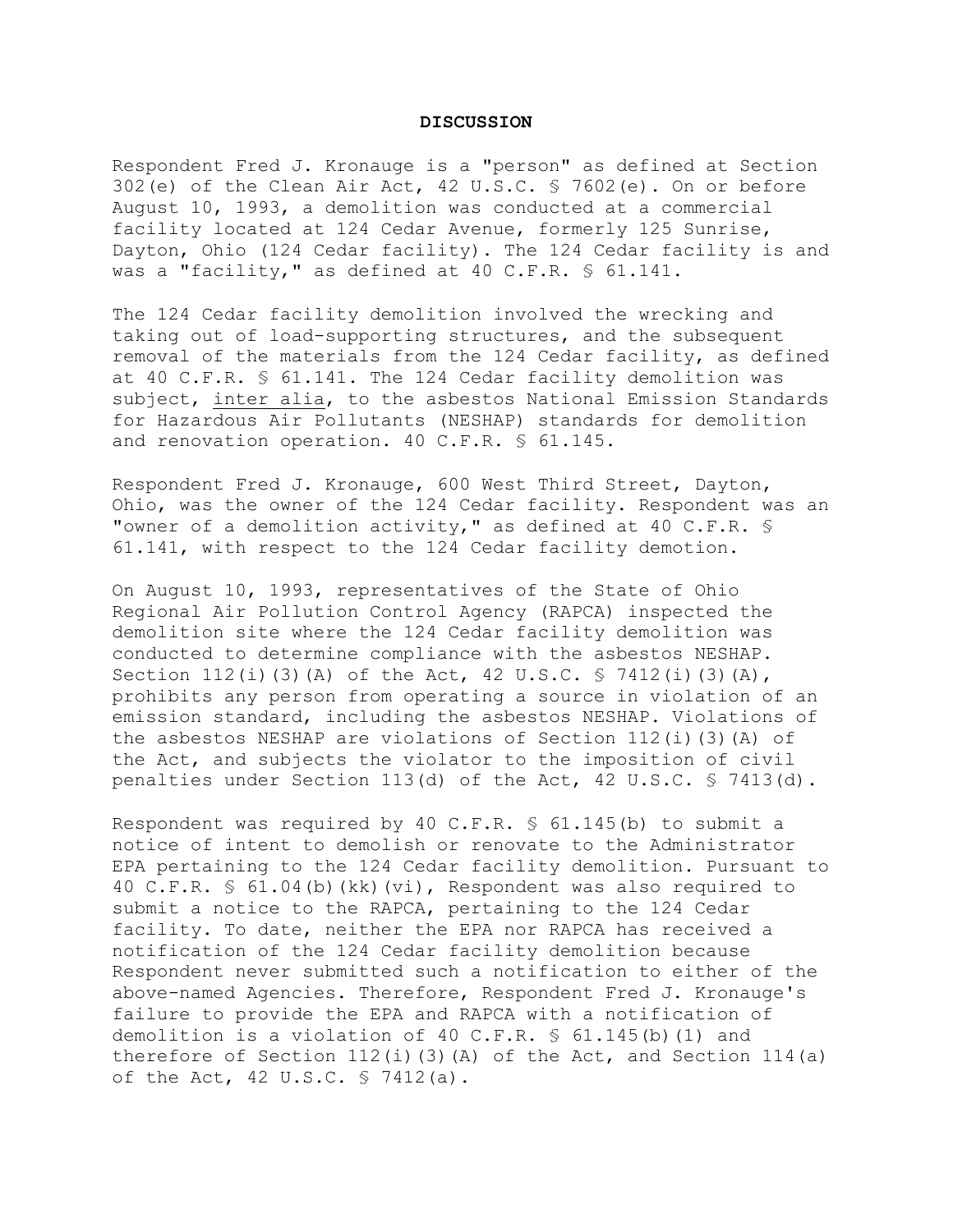#### **DISCUSSION**

Respondent Fred J. Kronauge is a "person" as defined at Section 302(e) of the Clean Air Act, 42 U.S.C. § 7602(e). On or before August 10, 1993, a demolition was conducted at a commercial facility located at 124 Cedar Avenue, formerly 125 Sunrise, Dayton, Ohio (124 Cedar facility). The 124 Cedar facility is and was a "facility," as defined at 40 C.F.R. § 61.141.

The 124 Cedar facility demolition involved the wrecking and taking out of load-supporting structures, and the subsequent removal of the materials from the 124 Cedar facility, as defined at 40 C.F.R. § 61.141. The 124 Cedar facility demolition was subject, inter alia, to the asbestos National Emission Standards for Hazardous Air Pollutants (NESHAP) standards for demolition and renovation operation. 40 C.F.R. § 61.145.

Respondent Fred J. Kronauge, 600 West Third Street, Dayton, Ohio, was the owner of the 124 Cedar facility. Respondent was an "owner of a demolition activity," as defined at 40 C.F.R. § 61.141, with respect to the 124 Cedar facility demotion.

On August 10, 1993, representatives of the State of Ohio Regional Air Pollution Control Agency (RAPCA) inspected the demolition site where the 124 Cedar facility demolition was conducted to determine compliance with the asbestos NESHAP. Section  $112(i)$  (3)(A) of the Act, 42 U.S.C. § 7412(i)(3)(A), prohibits any person from operating a source in violation of an emission standard, including the asbestos NESHAP. Violations of the asbestos NESHAP are violations of Section  $112(i)$  (3)(A) of the Act, and subjects the violator to the imposition of civil penalties under Section 113(d) of the Act, 42 U.S.C. § 7413(d).

Respondent was required by 40 C.F.R. § 61.145(b) to submit a notice of intent to demolish or renovate to the Administrator EPA pertaining to the 124 Cedar facility demolition. Pursuant to 40 C.F.R. § 61.04(b)(kk)(vi), Respondent was also required to submit a notice to the RAPCA, pertaining to the 124 Cedar facility. To date, neither the EPA nor RAPCA has received a notification of the 124 Cedar facility demolition because Respondent never submitted such a notification to either of the above-named Agencies. Therefore, Respondent Fred J. Kronauge's failure to provide the EPA and RAPCA with a notification of demolition is a violation of 40 C.F.R. § 61.145(b)(1) and therefore of Section  $112(i)$  (3)(A) of the Act, and Section  $114(a)$ of the Act, 42 U.S.C. § 7412(a).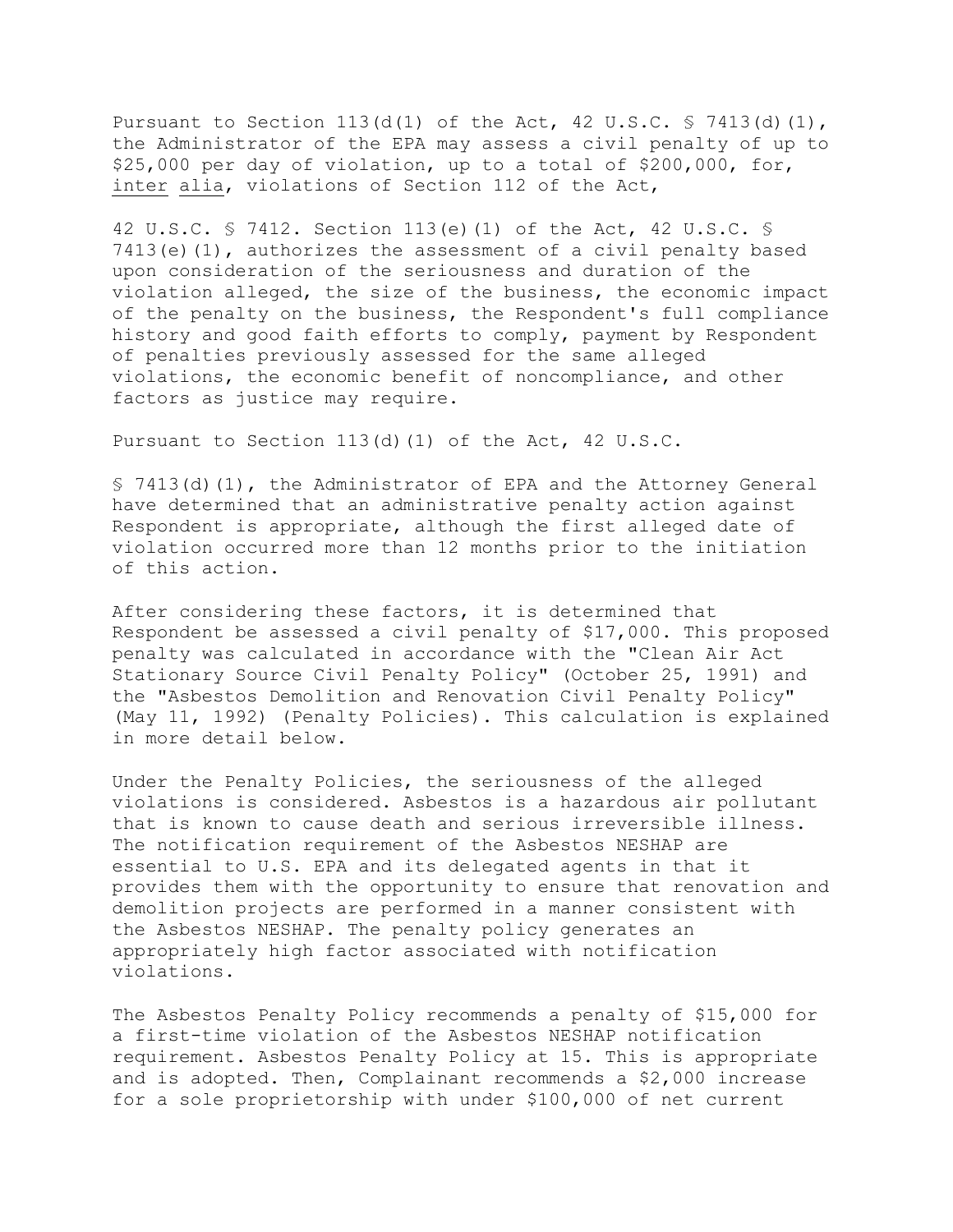Pursuant to Section 113(d(1) of the Act, 42 U.S.C. § 7413(d)(1), the Administrator of the EPA may assess a civil penalty of up to \$25,000 per day of violation, up to a total of \$200,000, for, inter alia, violations of Section 112 of the Act,

42 U.S.C. § 7412. Section 113(e)(1) of the Act, 42 U.S.C. § 7413(e)(1), authorizes the assessment of a civil penalty based upon consideration of the seriousness and duration of the violation alleged, the size of the business, the economic impact of the penalty on the business, the Respondent's full compliance history and good faith efforts to comply, payment by Respondent of penalties previously assessed for the same alleged violations, the economic benefit of noncompliance, and other factors as justice may require.

Pursuant to Section 113(d)(1) of the Act, 42 U.S.C.

§ 7413(d)(1), the Administrator of EPA and the Attorney General have determined that an administrative penalty action against Respondent is appropriate, although the first alleged date of violation occurred more than 12 months prior to the initiation of this action.

After considering these factors, it is determined that Respondent be assessed a civil penalty of \$17,000. This proposed penalty was calculated in accordance with the "Clean Air Act Stationary Source Civil Penalty Policy" (October 25, 1991) and the "Asbestos Demolition and Renovation Civil Penalty Policy" (May 11, 1992) (Penalty Policies). This calculation is explained in more detail below.

Under the Penalty Policies, the seriousness of the alleged violations is considered. Asbestos is a hazardous air pollutant that is known to cause death and serious irreversible illness. The notification requirement of the Asbestos NESHAP are essential to U.S. EPA and its delegated agents in that it provides them with the opportunity to ensure that renovation and demolition projects are performed in a manner consistent with the Asbestos NESHAP. The penalty policy generates an appropriately high factor associated with notification violations.

The Asbestos Penalty Policy recommends a penalty of \$15,000 for a first-time violation of the Asbestos NESHAP notification requirement. Asbestos Penalty Policy at 15. This is appropriate and is adopted. Then, Complainant recommends a \$2,000 increase for a sole proprietorship with under \$100,000 of net current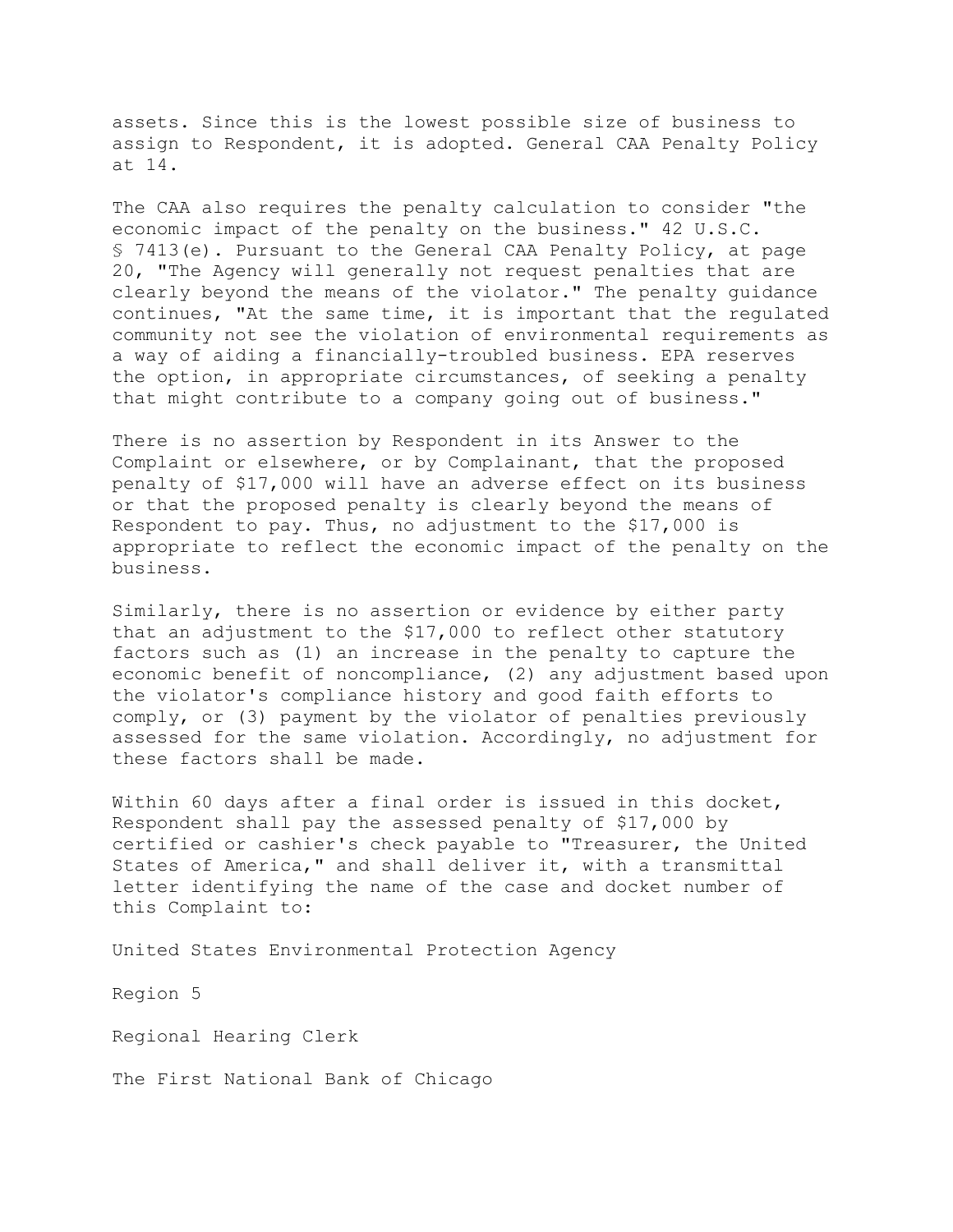assets. Since this is the lowest possible size of business to assign to Respondent, it is adopted. General CAA Penalty Policy at 14.

The CAA also requires the penalty calculation to consider "the economic impact of the penalty on the business." 42 U.S.C. § 7413(e). Pursuant to the General CAA Penalty Policy, at page 20, "The Agency will generally not request penalties that are clearly beyond the means of the violator." The penalty guidance continues, "At the same time, it is important that the regulated community not see the violation of environmental requirements as a way of aiding a financially-troubled business. EPA reserves the option, in appropriate circumstances, of seeking a penalty that might contribute to a company going out of business."

There is no assertion by Respondent in its Answer to the Complaint or elsewhere, or by Complainant, that the proposed penalty of \$17,000 will have an adverse effect on its business or that the proposed penalty is clearly beyond the means of Respondent to pay. Thus, no adjustment to the \$17,000 is appropriate to reflect the economic impact of the penalty on the business.

Similarly, there is no assertion or evidence by either party that an adjustment to the \$17,000 to reflect other statutory factors such as (1) an increase in the penalty to capture the economic benefit of noncompliance, (2) any adjustment based upon the violator's compliance history and good faith efforts to comply, or (3) payment by the violator of penalties previously assessed for the same violation. Accordingly, no adjustment for these factors shall be made.

Within 60 days after a final order is issued in this docket, Respondent shall pay the assessed penalty of \$17,000 by certified or cashier's check payable to "Treasurer, the United States of America," and shall deliver it, with a transmittal letter identifying the name of the case and docket number of this Complaint to:

United States Environmental Protection Agency

Region 5

Regional Hearing Clerk

The First National Bank of Chicago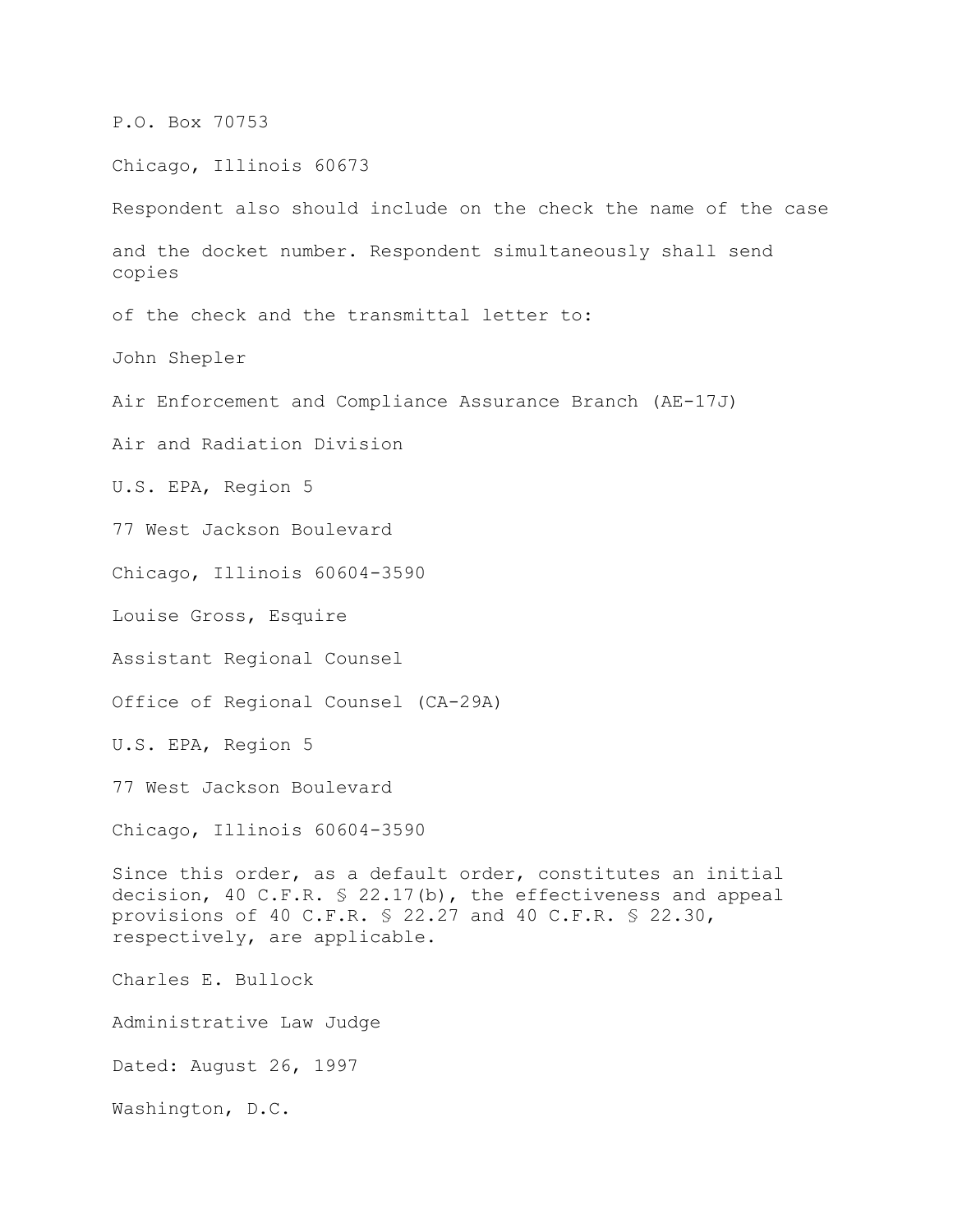P.O. Box 70753

Chicago, Illinois 60673

Respondent also should include on the check the name of the case and the docket number. Respondent simultaneously shall send copies of the check and the transmittal letter to:

John Shepler

Air Enforcement and Compliance Assurance Branch (AE-17J)

Air and Radiation Division

U.S. EPA, Region 5

77 West Jackson Boulevard

Chicago, Illinois 60604-3590

Louise Gross, Esquire

Assistant Regional Counsel

Office of Regional Counsel (CA-29A)

U.S. EPA, Region 5

77 West Jackson Boulevard

Chicago, Illinois 60604-3590

Since this order, as a default order, constitutes an initial decision, 40 C.F.R. § 22.17(b), the effectiveness and appeal provisions of 40 C.F.R. § 22.27 and 40 C.F.R. § 22.30, respectively, are applicable.

Charles E. Bullock

Administrative Law Judge

Dated: August 26, 1997

Washington, D.C.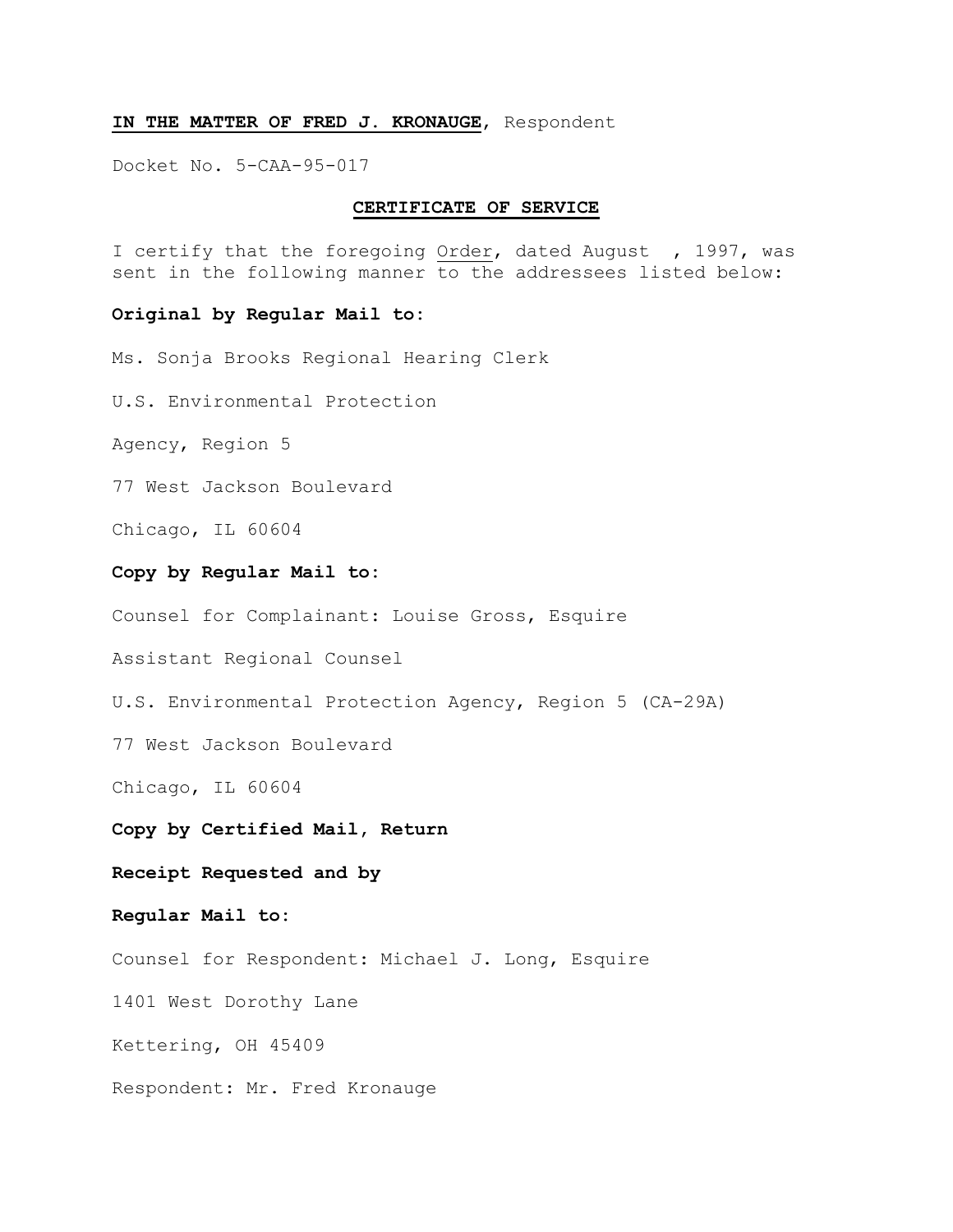### **IN THE MATTER OF FRED J. KRONAUGE**, Respondent

Docket No. 5-CAA-95-017

## **CERTIFICATE OF SERVICE**

I certify that the foregoing Order, dated August , 1997, was sent in the following manner to the addressees listed below:

#### **Original by Regular Mail to:**

Ms. Sonja Brooks Regional Hearing Clerk

U.S. Environmental Protection

Agency, Region 5

77 West Jackson Boulevard

Chicago, IL 60604

## **Copy by Regular Mail to:**

Counsel for Complainant: Louise Gross, Esquire

Assistant Regional Counsel

U.S. Environmental Protection Agency, Region 5 (CA-29A)

77 West Jackson Boulevard

Chicago, IL 60604

Copy by Certified Mail, Return<br>Receipt Requested and by

### **Regular Mail to:**

Counsel for Respondent: Michael J. Long, Esquire

1401 West Dorothy Lane

Kettering, OH 45409

Respondent: Mr. Fred Kronauge